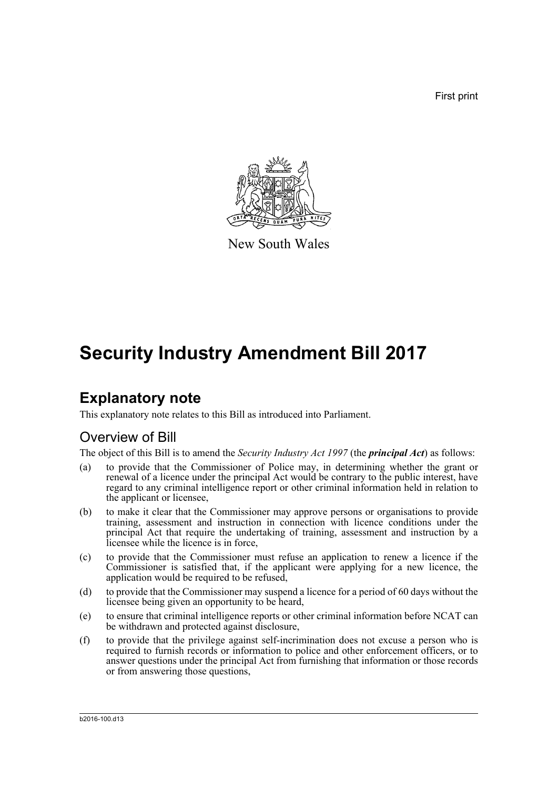First print



New South Wales

## **Security Industry Amendment Bill 2017**

## **Explanatory note**

This explanatory note relates to this Bill as introduced into Parliament.

### Overview of Bill

The object of this Bill is to amend the *Security Industry Act 1997* (the *principal Act*) as follows:

- (a) to provide that the Commissioner of Police may, in determining whether the grant or renewal of a licence under the principal Act would be contrary to the public interest, have regard to any criminal intelligence report or other criminal information held in relation to the applicant or licensee,
- (b) to make it clear that the Commissioner may approve persons or organisations to provide training, assessment and instruction in connection with licence conditions under the principal Act that require the undertaking of training, assessment and instruction by a licensee while the licence is in force,
- (c) to provide that the Commissioner must refuse an application to renew a licence if the Commissioner is satisfied that, if the applicant were applying for a new licence, the application would be required to be refused,
- (d) to provide that the Commissioner may suspend a licence for a period of 60 days without the licensee being given an opportunity to be heard,
- (e) to ensure that criminal intelligence reports or other criminal information before NCAT can be withdrawn and protected against disclosure,
- (f) to provide that the privilege against self-incrimination does not excuse a person who is required to furnish records or information to police and other enforcement officers, or to answer questions under the principal Act from furnishing that information or those records or from answering those questions,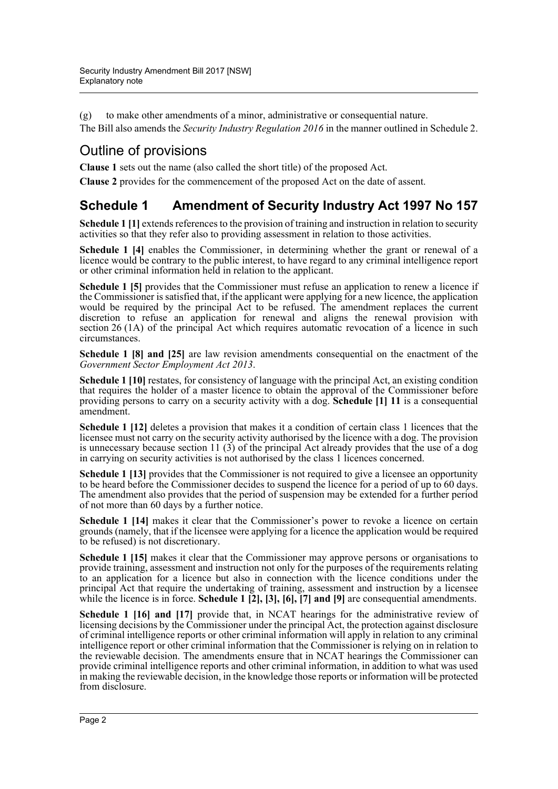(g) to make other amendments of a minor, administrative or consequential nature.

The Bill also amends the *Security Industry Regulation 2016* in the manner outlined in Schedule 2.

## Outline of provisions

**Clause 1** sets out the name (also called the short title) of the proposed Act.

**Clause 2** provides for the commencement of the proposed Act on the date of assent.

## **Schedule 1 Amendment of Security Industry Act 1997 No 157**

**Schedule 1 [1]** extends references to the provision of training and instruction in relation to security activities so that they refer also to providing assessment in relation to those activities.

**Schedule 1 [4]** enables the Commissioner, in determining whether the grant or renewal of a licence would be contrary to the public interest, to have regard to any criminal intelligence report or other criminal information held in relation to the applicant.

**Schedule 1 [5]** provides that the Commissioner must refuse an application to renew a licence if the Commissioner is satisfied that, if the applicant were applying for a new licence, the application would be required by the principal Act to be refused. The amendment replaces the current discretion to refuse an application for renewal and aligns the renewal provision with section 26 (1A) of the principal Act which requires automatic revocation of a licence in such circumstances.

**Schedule 1 [8] and [25]** are law revision amendments consequential on the enactment of the *Government Sector Employment Act 2013*.

**Schedule 1 [10]** restates, for consistency of language with the principal Act, an existing condition that requires the holder of a master licence to obtain the approval of the Commissioner before providing persons to carry on a security activity with a dog. **Schedule [1] 11** is a consequential amendment.

**Schedule 1 [12]** deletes a provision that makes it a condition of certain class 1 licences that the licensee must not carry on the security activity authorised by the licence with a dog. The provision is unnecessary because section 11  $(3)$  of the principal Act already provides that the use of a dog in carrying on security activities is not authorised by the class 1 licences concerned.

**Schedule 1 [13]** provides that the Commissioner is not required to give a licensee an opportunity to be heard before the Commissioner decides to suspend the licence for a period of up to 60 days. The amendment also provides that the period of suspension may be extended for a further period of not more than 60 days by a further notice.

**Schedule 1 [14]** makes it clear that the Commissioner's power to revoke a licence on certain grounds (namely, that if the licensee were applying for a licence the application would be required to be refused) is not discretionary.

**Schedule 1 [15]** makes it clear that the Commissioner may approve persons or organisations to provide training, assessment and instruction not only for the purposes of the requirements relating to an application for a licence but also in connection with the licence conditions under the principal Act that require the undertaking of training, assessment and instruction by a licensee while the licence is in force. **Schedule 1** [2], [3], [6], [7] and [9] are consequential amendments.

**Schedule 1 [16] and [17]** provide that, in NCAT hearings for the administrative review of licensing decisions by the Commissioner under the principal Act, the protection against disclosure of criminal intelligence reports or other criminal information will apply in relation to any criminal intelligence report or other criminal information that the Commissioner is relying on in relation to the reviewable decision. The amendments ensure that in NCAT hearings the Commissioner can provide criminal intelligence reports and other criminal information, in addition to what was used in making the reviewable decision, in the knowledge those reports or information will be protected from disclosure.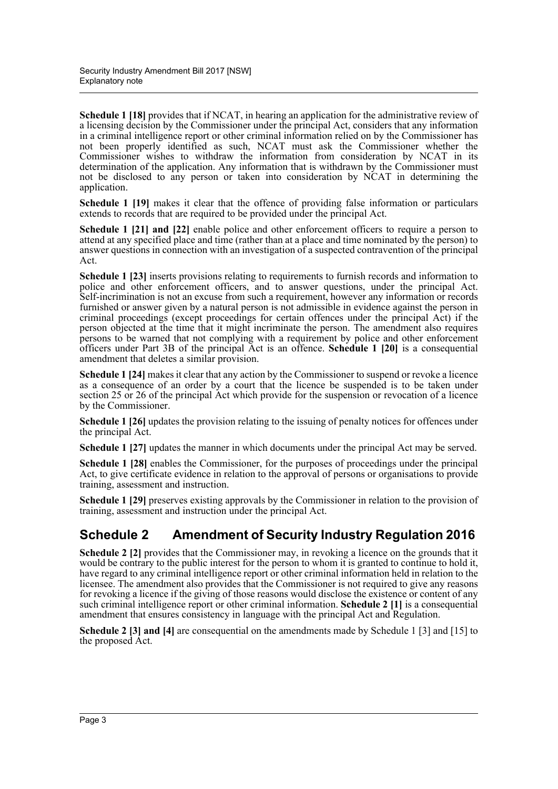**Schedule 1 [18]** provides that if NCAT, in hearing an application for the administrative review of a licensing decision by the Commissioner under the principal Act, considers that any information in a criminal intelligence report or other criminal information relied on by the Commissioner has not been properly identified as such, NCAT must ask the Commissioner whether the Commissioner wishes to withdraw the information from consideration by NCAT in its determination of the application. Any information that is withdrawn by the Commissioner must not be disclosed to any person or taken into consideration by NCAT in determining the application.

**Schedule 1 [19]** makes it clear that the offence of providing false information or particulars extends to records that are required to be provided under the principal Act.

**Schedule 1 [21] and [22]** enable police and other enforcement officers to require a person to attend at any specified place and time (rather than at a place and time nominated by the person) to answer questions in connection with an investigation of a suspected contravention of the principal Act.

**Schedule 1 [23]** inserts provisions relating to requirements to furnish records and information to police and other enforcement officers, and to answer questions, under the principal Act. Self-incrimination is not an excuse from such a requirement, however any information or records furnished or answer given by a natural person is not admissible in evidence against the person in criminal proceedings (except proceedings for certain offences under the principal Act) if the person objected at the time that it might incriminate the person. The amendment also requires persons to be warned that not complying with a requirement by police and other enforcement officers under Part 3B of the principal Act is an offence. **Schedule 1 [20]** is a consequential amendment that deletes a similar provision.

**Schedule 1 [24]** makes it clear that any action by the Commissioner to suspend or revoke a licence as a consequence of an order by a court that the licence be suspended is to be taken under section 25 or 26 of the principal Act which provide for the suspension or revocation of a licence by the Commissioner.

**Schedule 1 [26]** updates the provision relating to the issuing of penalty notices for offences under the principal Act.

**Schedule 1 [27]** updates the manner in which documents under the principal Act may be served.

**Schedule 1 [28]** enables the Commissioner, for the purposes of proceedings under the principal Act, to give certificate evidence in relation to the approval of persons or organisations to provide training, assessment and instruction.

**Schedule 1 [29]** preserves existing approvals by the Commissioner in relation to the provision of training, assessment and instruction under the principal Act.

### **Schedule 2 Amendment of Security Industry Regulation 2016**

**Schedule 2 [2]** provides that the Commissioner may, in revoking a licence on the grounds that it would be contrary to the public interest for the person to whom it is granted to continue to hold it, have regard to any criminal intelligence report or other criminal information held in relation to the licensee. The amendment also provides that the Commissioner is not required to give any reasons for revoking a licence if the giving of those reasons would disclose the existence or content of any such criminal intelligence report or other criminal information. **Schedule 2 [1]** is a consequential amendment that ensures consistency in language with the principal Act and Regulation.

**Schedule 2 [3] and [4]** are consequential on the amendments made by Schedule 1 [3] and [15] to the proposed Act.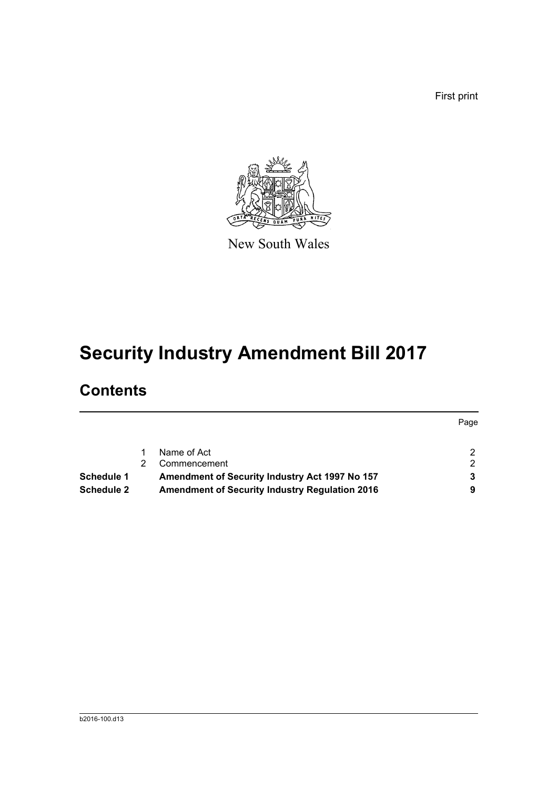First print



New South Wales

# **Security Industry Amendment Bill 2017**

## **Contents**

|                   |                                                       | Page                 |
|-------------------|-------------------------------------------------------|----------------------|
|                   | Name of Act                                           | $\mathcal{P} \equiv$ |
|                   | Commencement                                          | $\mathcal{P}$        |
| Schedule 1        | Amendment of Security Industry Act 1997 No 157        |                      |
| <b>Schedule 2</b> | <b>Amendment of Security Industry Regulation 2016</b> | 9                    |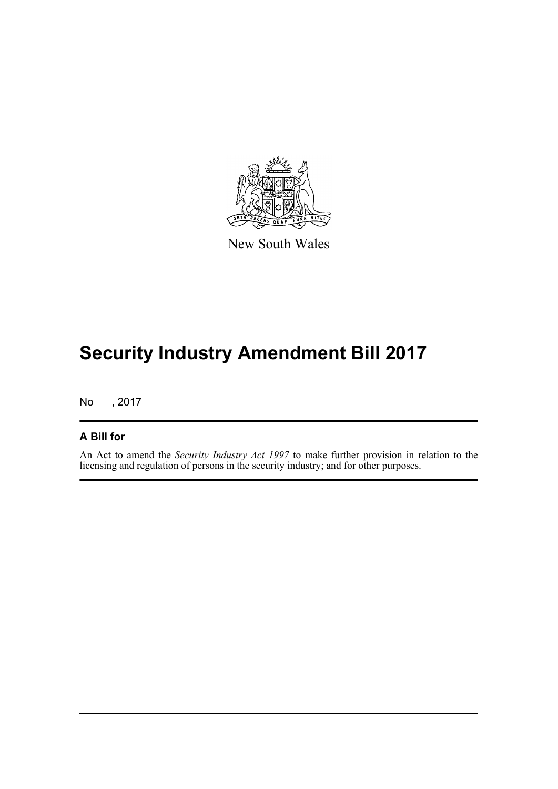

New South Wales

## **Security Industry Amendment Bill 2017**

No , 2017

### **A Bill for**

An Act to amend the *Security Industry Act 1997* to make further provision in relation to the licensing and regulation of persons in the security industry; and for other purposes.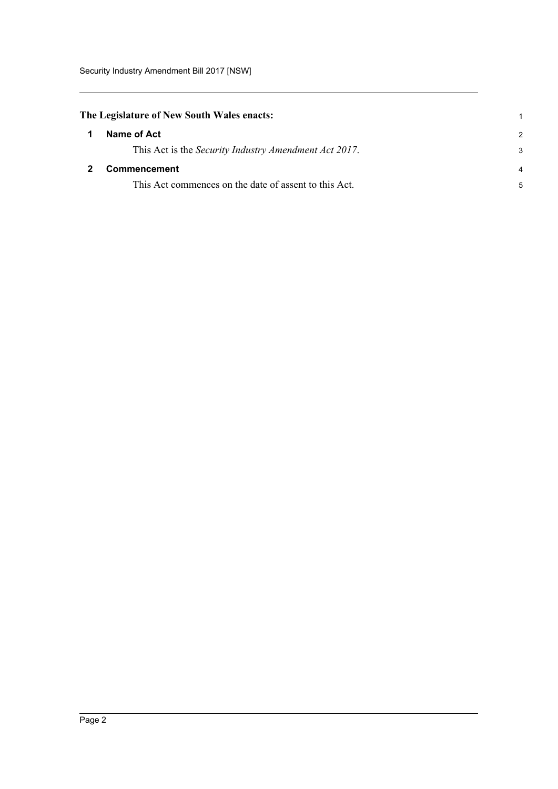### <span id="page-5-0"></span>**The Legislature of New South Wales enacts:**

<span id="page-5-1"></span>

| Name of Act                                           | $\mathcal{P}$  |
|-------------------------------------------------------|----------------|
| This Act is the Security Industry Amendment Act 2017. | 3              |
| <b>Commencement</b>                                   | $\overline{4}$ |
| This Act commences on the date of assent to this Act. | 5              |

1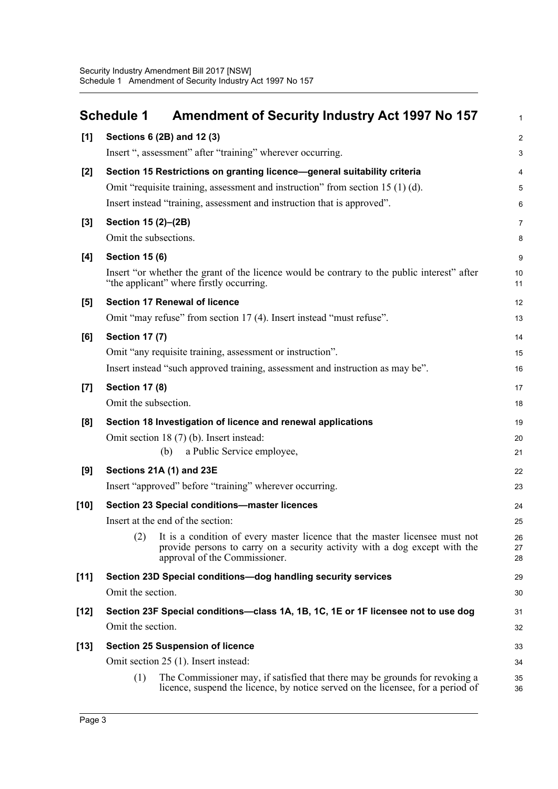<span id="page-6-0"></span>

|        | <b>Schedule 1</b>     | <b>Amendment of Security Industry Act 1997 No 157</b>                                                                                                                                      | $\mathbf{1}$   |
|--------|-----------------------|--------------------------------------------------------------------------------------------------------------------------------------------------------------------------------------------|----------------|
| [1]    |                       | Sections 6 (2B) and 12 (3)                                                                                                                                                                 | $\overline{2}$ |
|        |                       | Insert ", assessment" after "training" wherever occurring.                                                                                                                                 | 3              |
| [2]    |                       | Section 15 Restrictions on granting licence-general suitability criteria                                                                                                                   | 4              |
|        |                       | Omit "requisite training, assessment and instruction" from section 15 (1) (d).                                                                                                             | 5              |
|        |                       | Insert instead "training, assessment and instruction that is approved".                                                                                                                    | 6              |
| $[3]$  | Section 15 (2)-(2B)   |                                                                                                                                                                                            | $\overline{7}$ |
|        | Omit the subsections. |                                                                                                                                                                                            | 8              |
| [4]    | <b>Section 15 (6)</b> |                                                                                                                                                                                            | 9              |
|        |                       | Insert "or whether the grant of the licence would be contrary to the public interest" after<br>"the applicant" where firstly occurring.                                                    | 10<br>11       |
| [5]    |                       | <b>Section 17 Renewal of licence</b>                                                                                                                                                       | 12             |
|        |                       | Omit "may refuse" from section 17 (4). Insert instead "must refuse".                                                                                                                       | 13             |
| [6]    | <b>Section 17 (7)</b> |                                                                                                                                                                                            | 14             |
|        |                       | Omit "any requisite training, assessment or instruction".                                                                                                                                  | 15             |
|        |                       | Insert instead "such approved training, assessment and instruction as may be".                                                                                                             | 16             |
| [7]    | <b>Section 17 (8)</b> |                                                                                                                                                                                            | 17             |
|        | Omit the subsection.  |                                                                                                                                                                                            | 18             |
| [8]    |                       | Section 18 Investigation of licence and renewal applications                                                                                                                               | 19             |
|        |                       | Omit section 18 (7) (b). Insert instead:                                                                                                                                                   | 20             |
|        |                       | a Public Service employee,<br>(b)                                                                                                                                                          | 21             |
| [9]    |                       | Sections 21A (1) and 23E                                                                                                                                                                   | 22             |
|        |                       | Insert "approved" before "training" wherever occurring.                                                                                                                                    | 23             |
| $[10]$ |                       | Section 23 Special conditions-master licences                                                                                                                                              | 24             |
|        |                       | Insert at the end of the section:                                                                                                                                                          | 25             |
|        | (2)                   | It is a condition of every master licence that the master licensee must not<br>provide persons to carry on a security activity with a dog except with the<br>approval of the Commissioner. | 26<br>27<br>28 |
| $[11]$ |                       | Section 23D Special conditions-dog handling security services                                                                                                                              | 29             |
|        | Omit the section.     |                                                                                                                                                                                            | 30             |
| $[12]$ |                       | Section 23F Special conditions-class 1A, 1B, 1C, 1E or 1F licensee not to use dog                                                                                                          | 31             |
|        | Omit the section.     |                                                                                                                                                                                            | 32             |
| $[13]$ |                       | <b>Section 25 Suspension of licence</b>                                                                                                                                                    | 33             |
|        |                       | Omit section 25 (1). Insert instead:                                                                                                                                                       | 34             |
|        | (1)                   | The Commissioner may, if satisfied that there may be grounds for revoking a<br>licence, suspend the licence, by notice served on the licensee, for a period of                             | 35<br>36       |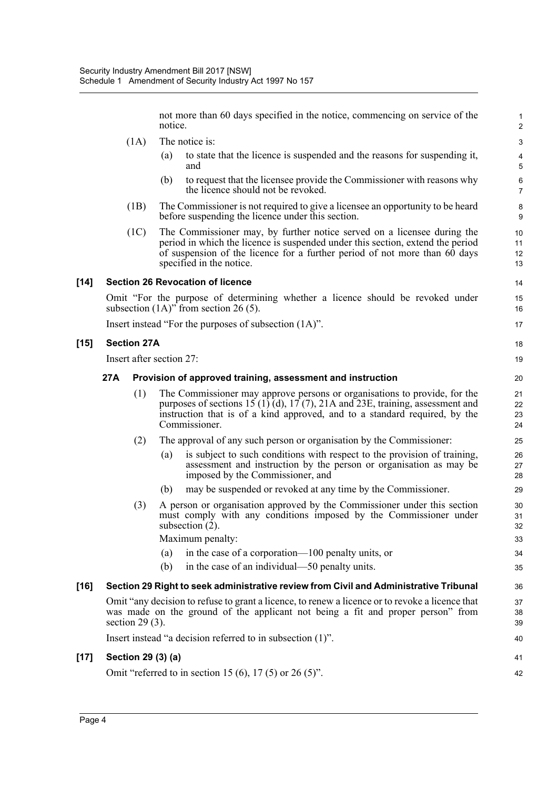not more than 60 days specified in the notice, commencing on service of the notice.

- (1A) The notice is:
	- (a) to state that the licence is suspended and the reasons for suspending it, and
	- (b) to request that the licensee provide the Commissioner with reasons why the licence should not be revoked.
- (1B) The Commissioner is not required to give a licensee an opportunity to be heard before suspending the licence under this section.
- (1C) The Commissioner may, by further notice served on a licensee during the period in which the licence is suspended under this section, extend the period of suspension of the licence for a further period of not more than 60 days specified in the notice.

### **[14] Section 26 Revocation of licence**

Omit "For the purpose of determining whether a licence should be revoked under subsection  $(1A)$ <sup>"</sup> from section 26 (5).

Insert instead "For the purposes of subsection (1A)".

#### **[15] Section 27A**

Insert after section 27:

#### **27A Provision of approved training, assessment and instruction**

- (1) The Commissioner may approve persons or organisations to provide, for the purposes of sections 15 (1) (d), 17 (7), 21A and 23E, training, assessment and instruction that is of a kind approved, and to a standard required, by the Commissioner.
- (2) The approval of any such person or organisation by the Commissioner:
	- (a) is subject to such conditions with respect to the provision of training, assessment and instruction by the person or organisation as may be imposed by the Commissioner, and
	- (b) may be suspended or revoked at any time by the Commissioner.
- (3) A person or organisation approved by the Commissioner under this section must comply with any conditions imposed by the Commissioner under subsection (2).

Maximum penalty:

- (a) in the case of a corporation—100 penalty units, or
- (b) in the case of an individual—50 penalty units.

#### **[16] Section 29 Right to seek administrative review from Civil and Administrative Tribunal**

Omit "any decision to refuse to grant a licence, to renew a licence or to revoke a licence that was made on the ground of the applicant not being a fit and proper person" from section  $29(3)$ .

Insert instead "a decision referred to in subsection (1)".

#### **[17] Section 29 (3) (a)**

Omit "referred to in section 15 (6), 17 (5) or 26 (5)".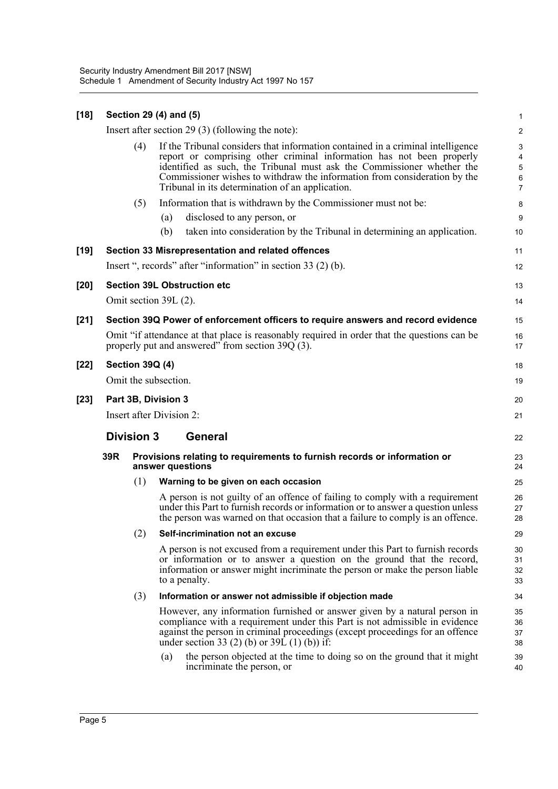| $[18]$ |                          |                        | Section 29 (4) and (5)                                                                                                                                                                                                                                                                                                                                              | $\mathbf{1}$                             |  |  |
|--------|--------------------------|------------------------|---------------------------------------------------------------------------------------------------------------------------------------------------------------------------------------------------------------------------------------------------------------------------------------------------------------------------------------------------------------------|------------------------------------------|--|--|
|        |                          |                        | Insert after section 29 $(3)$ (following the note):                                                                                                                                                                                                                                                                                                                 | $\overline{c}$                           |  |  |
|        |                          | (4)                    | If the Tribunal considers that information contained in a criminal intelligence<br>report or comprising other criminal information has not been properly<br>identified as such, the Tribunal must ask the Commissioner whether the<br>Commissioner wishes to withdraw the information from consideration by the<br>Tribunal in its determination of an application. | 3<br>4<br>5<br>$\,6\,$<br>$\overline{7}$ |  |  |
|        |                          | (5)                    | Information that is withdrawn by the Commissioner must not be:                                                                                                                                                                                                                                                                                                      | 8                                        |  |  |
|        |                          |                        | disclosed to any person, or<br>(a)<br>taken into consideration by the Tribunal in determining an application.<br>(b)                                                                                                                                                                                                                                                | 9<br>10                                  |  |  |
| $[19]$ |                          |                        | Section 33 Misrepresentation and related offences                                                                                                                                                                                                                                                                                                                   | 11                                       |  |  |
|        |                          |                        | Insert ", records" after "information" in section 33 (2) (b).                                                                                                                                                                                                                                                                                                       | 12                                       |  |  |
| $[20]$ |                          |                        | <b>Section 39L Obstruction etc</b>                                                                                                                                                                                                                                                                                                                                  | 13                                       |  |  |
|        |                          |                        | Omit section 39L (2).                                                                                                                                                                                                                                                                                                                                               | 14                                       |  |  |
| $[21]$ |                          |                        | Section 39Q Power of enforcement officers to require answers and record evidence                                                                                                                                                                                                                                                                                    | 15                                       |  |  |
|        |                          |                        | Omit "if attendance at that place is reasonably required in order that the questions can be<br>properly put and answered" from section $39Q(3)$ .                                                                                                                                                                                                                   | 16<br>17                                 |  |  |
| $[22]$ |                          | <b>Section 39Q (4)</b> |                                                                                                                                                                                                                                                                                                                                                                     | 18                                       |  |  |
|        |                          |                        | Omit the subsection.                                                                                                                                                                                                                                                                                                                                                | 19                                       |  |  |
| $[23]$ |                          |                        | Part 3B, Division 3                                                                                                                                                                                                                                                                                                                                                 | 20                                       |  |  |
|        | Insert after Division 2: |                        |                                                                                                                                                                                                                                                                                                                                                                     |                                          |  |  |
|        |                          | <b>Division 3</b>      | <b>General</b>                                                                                                                                                                                                                                                                                                                                                      | 22                                       |  |  |
|        | 39R                      |                        | Provisions relating to requirements to furnish records or information or<br>answer questions                                                                                                                                                                                                                                                                        | 23<br>24                                 |  |  |
|        |                          | (1)                    | Warning to be given on each occasion                                                                                                                                                                                                                                                                                                                                | 25                                       |  |  |
|        |                          |                        | A person is not guilty of an offence of failing to comply with a requirement<br>under this Part to furnish records or information or to answer a question unless<br>the person was warned on that occasion that a failure to comply is an offence.                                                                                                                  | 26<br>27<br>28                           |  |  |
|        |                          | (2)                    | Self-incrimination not an excuse                                                                                                                                                                                                                                                                                                                                    | 29                                       |  |  |
|        |                          |                        | A person is not excused from a requirement under this Part to furnish records<br>or information or to answer a question on the ground that the record,<br>information or answer might incriminate the person or make the person liable<br>to a penalty.                                                                                                             | 30<br>31<br>32<br>33                     |  |  |
|        |                          | (3)                    | Information or answer not admissible if objection made                                                                                                                                                                                                                                                                                                              | 34                                       |  |  |
|        |                          |                        | However, any information furnished or answer given by a natural person in<br>compliance with a requirement under this Part is not admissible in evidence<br>against the person in criminal proceedings (except proceedings for an offence<br>under section 33 (2) (b) or 39L (1) (b)) if:                                                                           | 35<br>36<br>37<br>38                     |  |  |
|        |                          |                        | the person objected at the time to doing so on the ground that it might<br>(a)<br>incriminate the person, or                                                                                                                                                                                                                                                        | 39<br>40                                 |  |  |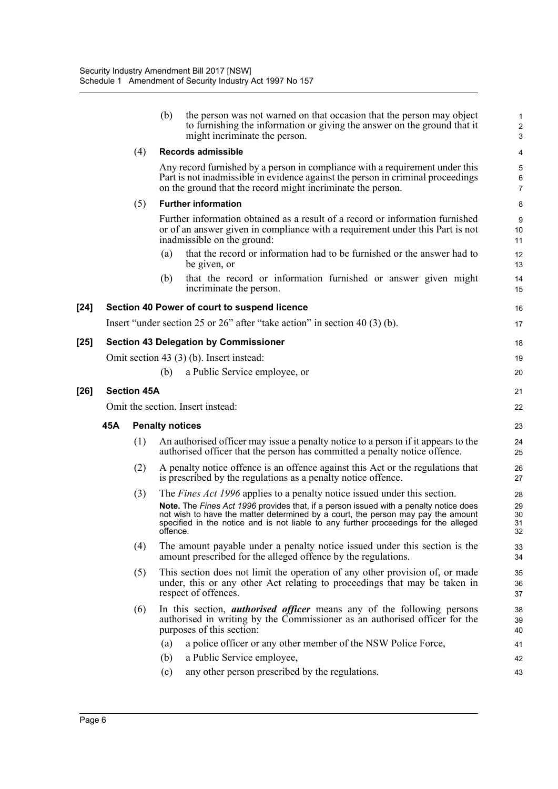|        |     |                    | (b)                    | the person was not warned on that occasion that the person may object<br>to furnishing the information or giving the answer on the ground that it<br>might incriminate the person.                                                                                | $\mathbf{1}$<br>$\overline{c}$<br>3 |
|--------|-----|--------------------|------------------------|-------------------------------------------------------------------------------------------------------------------------------------------------------------------------------------------------------------------------------------------------------------------|-------------------------------------|
|        |     | (4)                |                        | <b>Records admissible</b>                                                                                                                                                                                                                                         | 4                                   |
|        |     |                    |                        | Any record furnished by a person in compliance with a requirement under this<br>Part is not inadmissible in evidence against the person in criminal proceedings<br>on the ground that the record might incriminate the person.                                    | 5<br>$\,6\,$<br>$\overline{7}$      |
|        |     | (5)                |                        | <b>Further information</b>                                                                                                                                                                                                                                        | 8                                   |
|        |     |                    |                        | Further information obtained as a result of a record or information furnished<br>or of an answer given in compliance with a requirement under this Part is not<br>inadmissible on the ground:                                                                     | 9<br>10<br>11                       |
|        |     |                    | (a)                    | that the record or information had to be furnished or the answer had to<br>be given, or                                                                                                                                                                           | 12<br>13                            |
|        |     |                    | (b)                    | that the record or information furnished or answer given might<br>incriminate the person.                                                                                                                                                                         | 14<br>15                            |
| $[24]$ |     |                    |                        | Section 40 Power of court to suspend licence                                                                                                                                                                                                                      | 16                                  |
|        |     |                    |                        | Insert "under section 25 or $26$ " after "take action" in section 40 (3) (b).                                                                                                                                                                                     | 17                                  |
| $[25]$ |     |                    |                        | <b>Section 43 Delegation by Commissioner</b>                                                                                                                                                                                                                      | 18                                  |
|        |     |                    |                        | Omit section 43 (3) (b). Insert instead:                                                                                                                                                                                                                          | 19                                  |
|        |     |                    | (b)                    | a Public Service employee, or                                                                                                                                                                                                                                     | 20                                  |
| $[26]$ |     | <b>Section 45A</b> |                        |                                                                                                                                                                                                                                                                   | 21                                  |
|        |     |                    |                        |                                                                                                                                                                                                                                                                   |                                     |
|        |     |                    |                        | Omit the section. Insert instead:                                                                                                                                                                                                                                 | 22                                  |
|        | 45A |                    | <b>Penalty notices</b> |                                                                                                                                                                                                                                                                   | 23                                  |
|        |     | (1)                |                        | An authorised officer may issue a penalty notice to a person if it appears to the<br>authorised officer that the person has committed a penalty notice offence.                                                                                                   | 24<br>25                            |
|        |     | (2)                |                        | A penalty notice offence is an offence against this Act or the regulations that<br>is prescribed by the regulations as a penalty notice offence.                                                                                                                  | 26<br>27                            |
|        |     | (3)                |                        | The <i>Fines Act 1996</i> applies to a penalty notice issued under this section.                                                                                                                                                                                  | 28                                  |
|        |     |                    | offence.               | Note. The Fines Act 1996 provides that, if a person issued with a penalty notice does<br>not wish to have the matter determined by a court, the person may pay the amount<br>specified in the notice and is not liable to any further proceedings for the alleged | 29<br>30<br>31<br>32                |
|        |     | (4)                |                        | The amount payable under a penalty notice issued under this section is the<br>amount prescribed for the alleged offence by the regulations.                                                                                                                       | 33<br>34                            |
|        |     | (5)                |                        | This section does not limit the operation of any other provision of, or made<br>under, this or any other Act relating to proceedings that may be taken in<br>respect of offences.                                                                                 | 35<br>36<br>37                      |
|        |     | (6)                |                        | In this section, <i>authorised officer</i> means any of the following persons<br>authorised in writing by the Commissioner as an authorised officer for the<br>purposes of this section:                                                                          | 38<br>39<br>40                      |
|        |     |                    | (a)                    | a police officer or any other member of the NSW Police Force,                                                                                                                                                                                                     | 41                                  |
|        |     |                    | (b)<br>(c)             | a Public Service employee,<br>any other person prescribed by the regulations.                                                                                                                                                                                     | 42<br>43                            |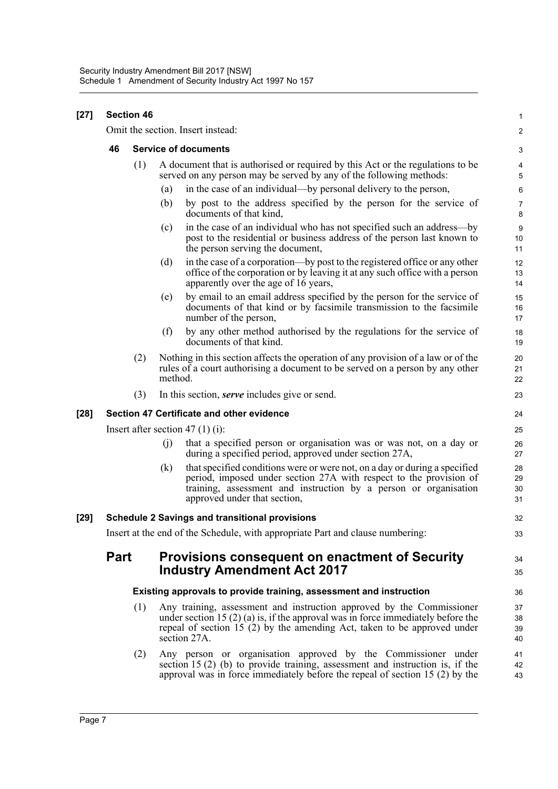| $[27]$ | <b>Section 46</b>                                                              |         |                                                                                                                                                                    |                                                                                                                                                                                                                                                         |                            |  |
|--------|--------------------------------------------------------------------------------|---------|--------------------------------------------------------------------------------------------------------------------------------------------------------------------|---------------------------------------------------------------------------------------------------------------------------------------------------------------------------------------------------------------------------------------------------------|----------------------------|--|
|        |                                                                                |         |                                                                                                                                                                    | Omit the section. Insert instead:                                                                                                                                                                                                                       | 2                          |  |
|        | 46                                                                             |         | <b>Service of documents</b>                                                                                                                                        |                                                                                                                                                                                                                                                         |                            |  |
|        |                                                                                | (1)     |                                                                                                                                                                    | A document that is authorised or required by this Act or the regulations to be<br>served on any person may be served by any of the following methods:                                                                                                   | 4<br>5                     |  |
|        |                                                                                |         | (a)                                                                                                                                                                | in the case of an individual—by personal delivery to the person,                                                                                                                                                                                        | 6                          |  |
|        |                                                                                |         | (b)                                                                                                                                                                | by post to the address specified by the person for the service of<br>documents of that kind,                                                                                                                                                            | $\overline{7}$<br>8        |  |
|        |                                                                                |         | (c)                                                                                                                                                                | in the case of an individual who has not specified such an address—by<br>post to the residential or business address of the person last known to<br>the person serving the document,                                                                    | $9\,$<br>10<br>11          |  |
|        |                                                                                |         | (d)                                                                                                                                                                | in the case of a corporation—by post to the registered office or any other<br>office of the corporation or by leaving it at any such office with a person<br>apparently over the age of 16 years,                                                       | 12<br>13<br>14             |  |
|        |                                                                                |         | (e)                                                                                                                                                                | by email to an email address specified by the person for the service of<br>documents of that kind or by facsimile transmission to the facsimile<br>number of the person,                                                                                | 15<br>16<br>17             |  |
|        |                                                                                |         | (f)                                                                                                                                                                | by any other method authorised by the regulations for the service of<br>documents of that kind.                                                                                                                                                         | 18<br>19                   |  |
|        | (2)                                                                            | method. | Nothing in this section affects the operation of any provision of a law or of the<br>rules of a court authorising a document to be served on a person by any other | 20<br>21<br>22                                                                                                                                                                                                                                          |                            |  |
|        |                                                                                | (3)     |                                                                                                                                                                    | In this section, <i>serve</i> includes give or send.                                                                                                                                                                                                    | 23                         |  |
| $[28]$ |                                                                                |         |                                                                                                                                                                    | Section 47 Certificate and other evidence                                                                                                                                                                                                               | 24                         |  |
|        | Insert after section 47 $(1)$ (i):                                             |         |                                                                                                                                                                    |                                                                                                                                                                                                                                                         |                            |  |
|        |                                                                                |         | (i)                                                                                                                                                                | that a specified person or organisation was or was not, on a day or<br>during a specified period, approved under section 27A,                                                                                                                           | 26<br>27                   |  |
|        |                                                                                |         | (k)                                                                                                                                                                | that specified conditions were or were not, on a day or during a specified<br>period, imposed under section 27A with respect to the provision of<br>training, assessment and instruction by a person or organisation<br>approved under that section,    | 28<br>29<br>30<br>31       |  |
| $[29]$ |                                                                                |         |                                                                                                                                                                    | <b>Schedule 2 Savings and transitional provisions</b>                                                                                                                                                                                                   | 32                         |  |
|        | Insert at the end of the Schedule, with appropriate Part and clause numbering: |         |                                                                                                                                                                    |                                                                                                                                                                                                                                                         |                            |  |
|        | <b>Part</b>                                                                    |         |                                                                                                                                                                    | Provisions consequent on enactment of Security<br><b>Industry Amendment Act 2017</b>                                                                                                                                                                    | 34<br>35                   |  |
|        | Existing approvals to provide training, assessment and instruction             |         |                                                                                                                                                                    |                                                                                                                                                                                                                                                         |                            |  |
|        |                                                                                | (1)     |                                                                                                                                                                    | Any training, assessment and instruction approved by the Commissioner<br>under section 15 $(2)$ (a) is, if the approval was in force immediately before the<br>repeal of section 15 (2) by the amending Act, taken to be approved under<br>section 27A. | 36<br>37<br>38<br>39<br>40 |  |
|        |                                                                                | (2)     |                                                                                                                                                                    | Any person or organisation approved by the Commissioner under<br>section $15(2)$ (b) to provide training, assessment and instruction is, if the<br>approval was in force immediately before the repeal of section $15(2)$ by the                        | 41<br>42<br>43             |  |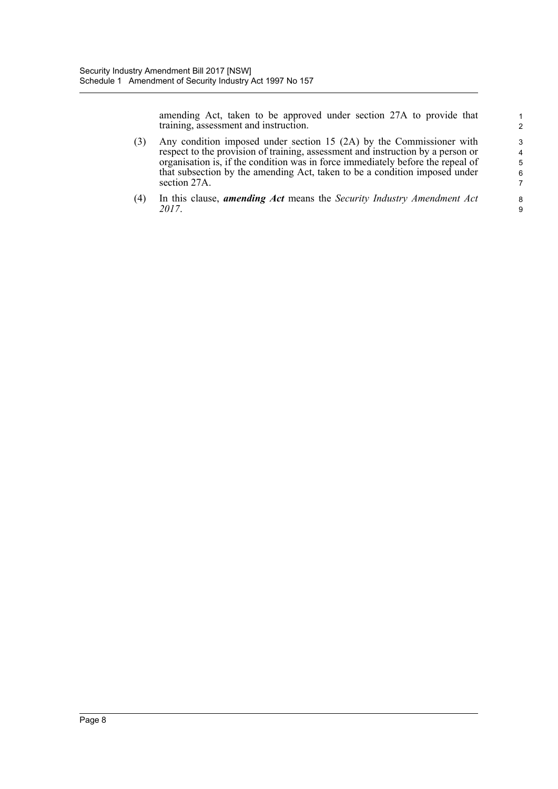amending Act, taken to be approved under section 27A to provide that training, assessment and instruction.

- (3) Any condition imposed under section 15 (2A) by the Commissioner with respect to the provision of training, assessment and instruction by a person or organisation is, if the condition was in force immediately before the repeal of that subsection by the amending Act, taken to be a condition imposed under section 27A.
- (4) In this clause, *amending Act* means the *Security Industry Amendment Act 2017*.